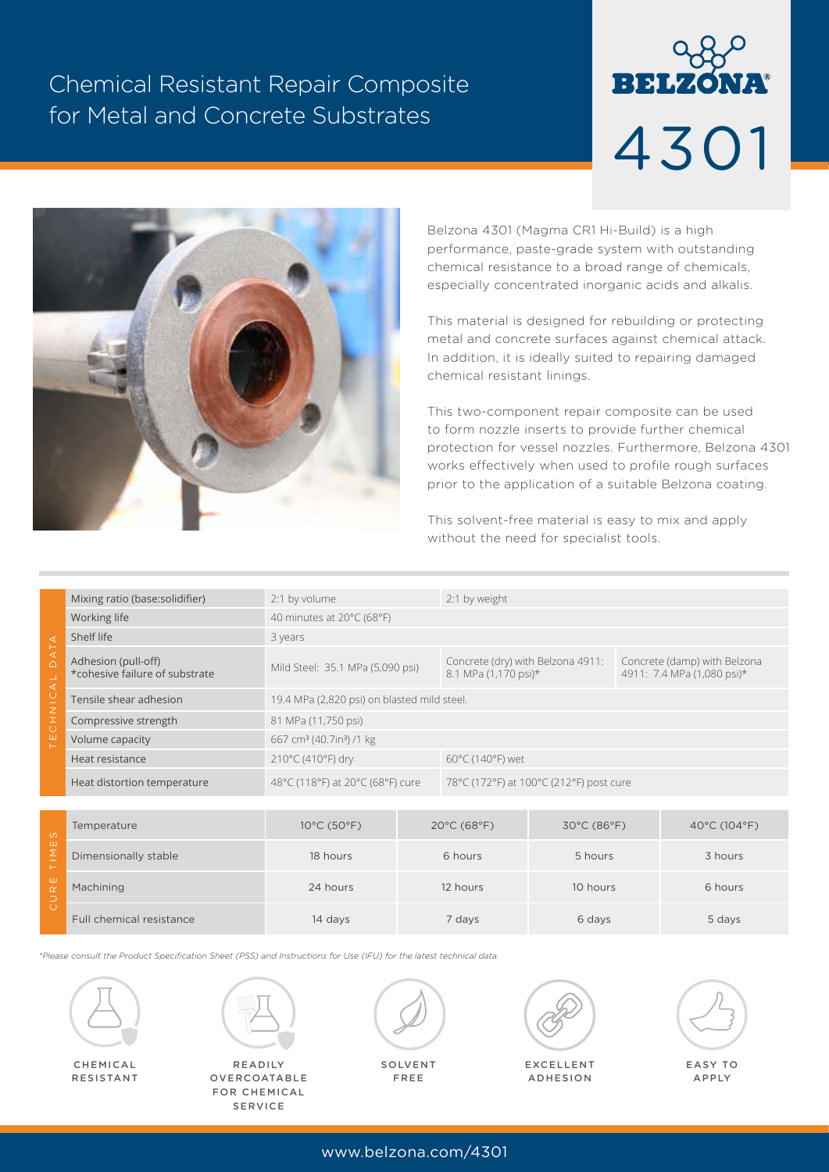## Chemical Resistant Repair Composite for Metal and Concrete Substrates





Belzona 4301 (Magma CR1 Hi-Build) is a high performance, paste-grade system with outstanding chemical resistance to a broad range of chemicals, especially concentrated inorganic acids and alkalis.

This material is designed for rebuilding or protecting metal and concrete surfaces against chemical attack. In addition, it is ideally suited to repairing damaged chemical resistant linings.

This two-component repair composite can be used to form nozzle inserts to provide further chemical protection for vessel nozzles. Furthermore, Belzona 4301 works effectively when used to profile rough surfaces prior to the application of a suitable Belzona coating.

This solvent-free material is easy to mix and apply without the need for specialist tools.

| ⋖<br>Н<br>$\overline{\mathsf{A}}$<br>$\overline{\mathbf{A}}$ L<br><b>O IN エリ</b><br>Ш<br>H                          | Mixing ratio (base:solidifier)                        | 2:1 by volume                                    |             | 2:1 by weight                                             |             |                                                            |              |
|---------------------------------------------------------------------------------------------------------------------|-------------------------------------------------------|--------------------------------------------------|-------------|-----------------------------------------------------------|-------------|------------------------------------------------------------|--------------|
|                                                                                                                     | Working life                                          | 40 minutes at 20°C (68°F)                        |             |                                                           |             |                                                            |              |
|                                                                                                                     | Shelf life                                            | 3 years                                          |             |                                                           |             |                                                            |              |
|                                                                                                                     | Adhesion (pull-off)<br>*cohesive failure of substrate | Mild Steel: 35.1 MPa (5,090 psi)                 |             | Concrete (dry) with Belzona 4911:<br>8.1 MPa (1,170 psi)* |             | Concrete (damp) with Belzona<br>4911: 7.4 MPa (1,080 psi)* |              |
|                                                                                                                     | Tensile shear adhesion                                | 19.4 MPa (2,820 psi) on blasted mild steel.      |             |                                                           |             |                                                            |              |
|                                                                                                                     | Compressive strength                                  | 81 MPa (11,750 psi)                              |             |                                                           |             |                                                            |              |
|                                                                                                                     | Volume capacity                                       | 667 cm <sup>3</sup> (40.7in <sup>3</sup> ) /1 kg |             |                                                           |             |                                                            |              |
|                                                                                                                     | Heat resistance                                       | 210°C (410°F) dry                                |             | 60°C (140°F) wet                                          |             |                                                            |              |
|                                                                                                                     | Heat distortion temperature                           | 48°C (118°F) at 20°C (68°F) cure                 |             | 78°C (172°F) at 100°C (212°F) post cure                   |             |                                                            |              |
|                                                                                                                     |                                                       |                                                  |             |                                                           |             |                                                            |              |
| $\omega$<br>ш<br>$\frac{1}{2}$<br>ш<br>$\alpha$<br>$\supset$<br>$\circ$                                             | Temperature                                           | 10°C (50°F)                                      | 20°C (68°F) |                                                           | 30°C (86°F) |                                                            | 40°C (104°F) |
|                                                                                                                     | Dimensionally stable                                  | 18 hours                                         | 6 hours     |                                                           | 5 hours     |                                                            | 3 hours      |
|                                                                                                                     | Machining                                             | 24 hours                                         | 12 hours    |                                                           | 10 hours    |                                                            | 6 hours      |
|                                                                                                                     | Full chemical resistance                              | 14 days                                          |             | 7 days                                                    | 6 days      |                                                            | 5 days       |
| *Please consult the Product Specification Sheet (PSS) and Instructions for Use (IFU) for the latest technical data. |                                                       |                                                  |             |                                                           |             |                                                            |              |



CHEMICAL RESISTANT



READILY OVERCOATABLE FOR CHEMICAL SERVICE



SOLVENT FREE



EXCELLENT ADHESION



EASY TO APPLY